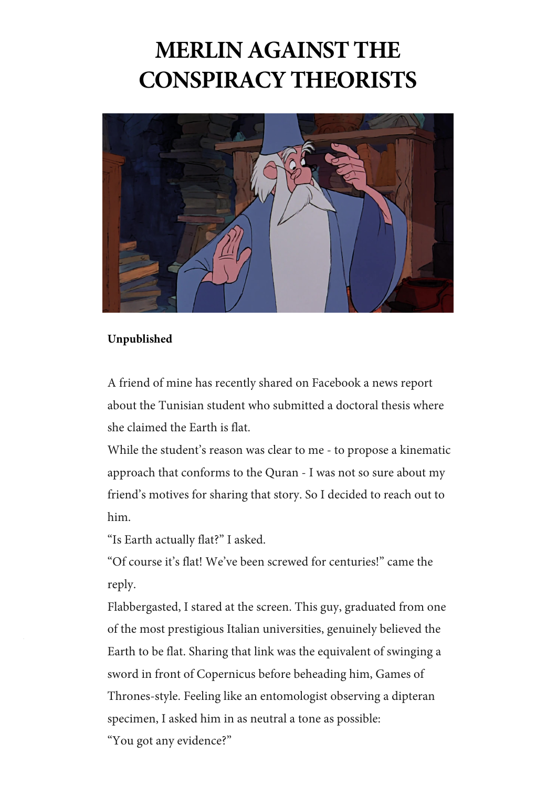## **MERLIN AGAINST THE CONSPIRACY THEORISTS**



## **Unpublished**

A friend of mine has recently shared on Facebook a news report about the Tunisian student who submitted a doctoral thesis where she claimed the Earth is flat.

While the student's reason was clear to me - to propose a kinematic approach that conforms to the Quran - I was not so sure about my friend's motives for sharing that story. So I decided to reach out to him.

"Is Earth actually flat?" I asked.

"Of course it's flat! We've been screwed for centuries!" came the reply.

Flabbergasted, I stared at the screen. This guy, graduated from one of the most prestigious Italian universities, genuinely believed the Earth to be flat. Sharing that link was the equivalent of swinging a sword in front of Copernicus before beheading him, Games of Thrones-style. Feeling like an entomologist observing a dipteran specimen, I asked him in as neutral a tone as possible:

"You got any evidence?"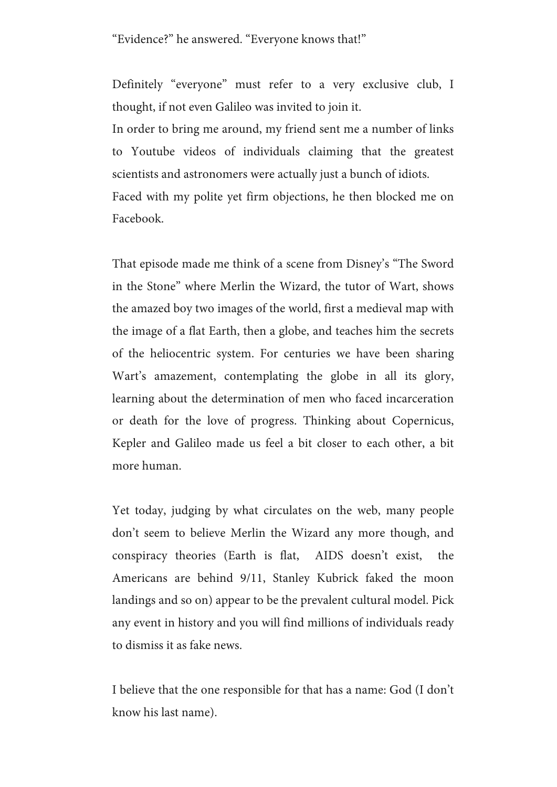"Evidence?" he answered. "Everyone knows that!"

Definitely "everyone" must refer to a very exclusive club, I thought, if not even Galileo was invited to join it.

In order to bring me around, my friend sent me a number of links to Youtube videos of individuals claiming that the greatest scientists and astronomers were actually just a bunch of idiots. Faced with my polite yet firm objections, he then blocked me on Facebook.

That episode made me think of a scene from Disney's "The Sword in the Stone" where Merlin the Wizard, the tutor of Wart, shows the amazed boy two images of the world, first a medieval map with the image of a flat Earth, then a globe, and teaches him the secrets of the heliocentric system. For centuries we have been sharing Wart's amazement, contemplating the globe in all its glory, learning about the determination of men who faced incarceration or death for the love of progress. Thinking about Copernicus, Kepler and Galileo made us feel a bit closer to each other, a bit more human.

Yet today, judging by what circulates on the web, many people don't seem to believe Merlin the Wizard any more though, and conspiracy theories (Earth is flat, AIDS doesn't exist, the Americans are behind 9/11, Stanley Kubrick faked the moon landings and so on) appear to be the prevalent cultural model. Pick any event in history and you will find millions of individuals ready to dismiss it as fake news.

I believe that the one responsible for that has a name: God (I don't know his last name).